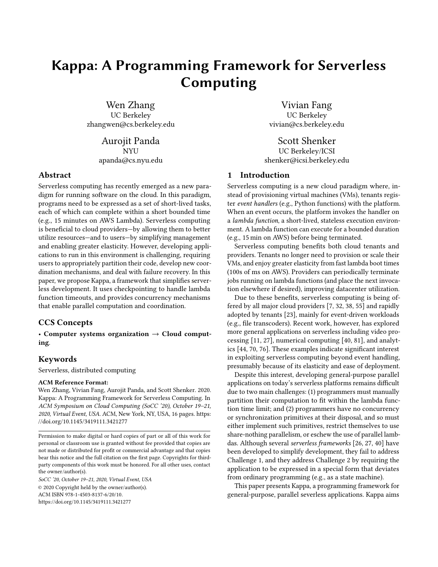# Kappa: A Programming Framework for Serverless Computing

Wen Zhang UC Berkeley zhangwen@cs.berkeley.edu

> Aurojit Panda NYU apanda@cs.nyu.edu

## Abstract

Serverless computing has recently emerged as a new paradigm for running software on the cloud. In this paradigm, programs need to be expressed as a set of short-lived tasks, each of which can complete within a short bounded time (e.g., 15 minutes on AWS Lambda). Serverless computing is beneficial to cloud providers—by allowing them to better utilize resources—and to users—by simplifying management and enabling greater elasticity. However, developing applications to run in this environment is challenging, requiring users to appropriately partition their code, develop new coordination mechanisms, and deal with failure recovery. In this paper, we propose Kappa, a framework that simplifies serverless development. It uses checkpointing to handle lambda function timeouts, and provides concurrency mechanisms that enable parallel computation and coordination.

## CCS Concepts

• Computer systems organization  $\rightarrow$  Cloud computing.

## Keywords

Serverless, distributed computing

#### ACM Reference Format:

Wen Zhang, Vivian Fang, Aurojit Panda, and Scott Shenker. 2020. Kappa: A Programming Framework for Serverless Computing. In ACM Symposium on Cloud Computing (SoCC '20), October 19–21, 2020, Virtual Event, USA. ACM, New York, NY, USA, [16](#page-15-0) pages. [https:](https://doi.org/10.1145/3419111.3421277) [//doi.org/10.1145/3419111.3421277](https://doi.org/10.1145/3419111.3421277)

SoCC '20, October 19–21, 2020, Virtual Event, USA © 2020 Copyright held by the owner/author(s). ACM ISBN 978-1-4503-8137-6/20/10. <https://doi.org/10.1145/3419111.3421277>

Vivian Fang UC Berkeley vivian@cs.berkeley.edu

Scott Shenker UC Berkeley/ICSI shenker@icsi.berkeley.edu

# 1 Introduction

Serverless computing is a new cloud paradigm where, instead of provisioning virtual machines (VMs), tenants register event handlers (e.g., Python functions) with the platform. When an event occurs, the platform invokes the handler on a lambda function, a short-lived, stateless execution environment. A lambda function can execute for a bounded duration (e.g., 15 min on AWS) before being terminated.

Serverless computing benefits both cloud tenants and providers. Tenants no longer need to provision or scale their VMs, and enjoy greater elasticity from fast lambda boot times (100s of ms on AWS). Providers can periodically terminate jobs running on lambda functions (and place the next invocation elsewhere if desired), improving datacenter utilization.

Due to these benefits, serverless computing is being offered by all major cloud providers [\[7,](#page-13-0) [32,](#page-13-1) [38,](#page-14-0) [55\]](#page-14-1) and rapidly adopted by tenants [\[23\]](#page-13-2), mainly for event-driven workloads (e.g., file transcoders). Recent work, however, has explored more general applications on serverless including video processing [\[11,](#page-13-3) [27\]](#page-13-4), numerical computing [\[40,](#page-14-2) [81\]](#page-15-1), and analytics [\[44,](#page-14-3) [70,](#page-15-2) [76\]](#page-15-3). These examples indicate significant interest in exploiting serverless computing beyond event handling, presumably because of its elasticity and ease of deployment.

Despite this interest, developing general-purpose parallel applications on today's serverless platforms remains difficult due to two main challenges: (1) programmers must manually partition their computation to fit within the lambda function time limit; and (2) programmers have no concurrency or synchronization primitives at their disposal, and so must either implement such primitives, restrict themselves to use share-nothing parallelism, or eschew the use of parallel lambdas. Although several serverless frameworks [\[26,](#page-13-5) [27,](#page-13-4) [40\]](#page-14-2) have been developed to simplify development, they fail to address Challenge 1, and they address Challenge 2 by requiring the application to be expressed in a special form that deviates from ordinary programming (e.g., as a state machine).

This paper presents Kappa, a programming framework for general-purpose, parallel severless applications. Kappa aims

Permission to make digital or hard copies of part or all of this work for personal or classroom use is granted without fee provided that copies are not made or distributed for profit or commercial advantage and that copies bear this notice and the full citation on the first page. Copyrights for thirdparty components of this work must be honored. For all other uses, contact the owner/author(s).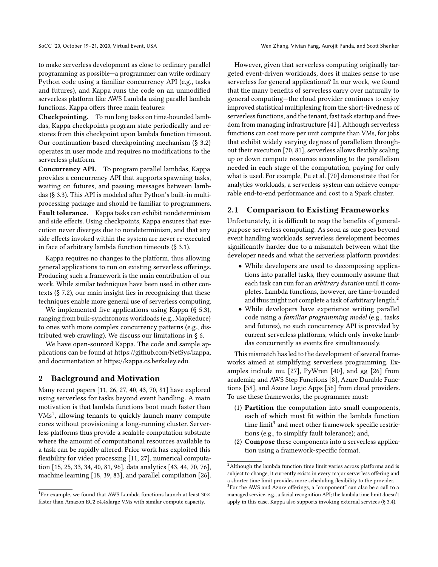to make serverless development as close to ordinary parallel programming as possible—a programmer can write ordinary Python code using a familiar concurrency API (e.g., tasks and futures), and Kappa runs the code on an unmodified serverless platform like AWS Lambda using parallel lambda functions. Kappa offers three main features:

Checkpointing. To run long tasks on time-bounded lambdas, Kappa checkpoints program state periodically and restores from this checkpoint upon lambda function timeout. Our continuation-based checkpointing mechanism (§ [3.2\)](#page-4-0) operates in user mode and requires no modifications to the serverless platform.

Concurrency API. To program parallel lambdas, Kappa provides a concurrency API that supports spawning tasks, waiting on futures, and passing messages between lambdas (§ [3.3\)](#page-5-0). This API is modeled after Python's built-in multiprocessing package and should be familiar to programmers. Fault tolerance. Kappa tasks can exhibit nondeterminism and side effects. Using checkpoints, Kappa ensures that execution never diverges due to nondeterminism, and that any side effects invoked within the system are never re-executed in face of arbitrary lambda function timeouts (§ [3.1\)](#page-3-0).

Kappa requires no changes to the platform, thus allowing general applications to run on existing serverless offerings. Producing such a framework is the main contribution of our work. While similar techniques have been used in other contexts (§ [7.2\)](#page-12-0), our main insight lies in recognizing that these techniques enable more general use of serverless computing.

We implemented five applications using Kappa (§ [5.3\)](#page-9-0), ranging from bulk-synchronous workloads (e.g., MapReduce) to ones with more complex concurrency patterns (e.g., distributed web crawling). We discuss our limitations in § [6.](#page-11-0)

We have open-sourced Kappa. The code and sample applications can be found at [https://github.com/NetSys/kappa,](https://github.com/NetSys/kappa) and documentation at [https://kappa.cs.berkeley.edu.](https://kappa.cs.berkeley.edu)

## 2 Background and Motivation

Many recent papers [\[11,](#page-13-3) [26,](#page-13-5) [27,](#page-13-4) [40,](#page-14-2) [43,](#page-14-4) [70,](#page-15-2) [81\]](#page-15-1) have explored using serverless for tasks beyond event handling. A main motivation is that lambda functions boot much faster than VMs<sup>[1](#page-1-0)</sup>, allowing tenants to quickly launch many compute cores without provisioning a long-running cluster. Serverless platforms thus provide a scalable computation substrate where the amount of computational resources available to a task can be rapidly altered. Prior work has exploited this flexibility for video processing [\[11,](#page-13-3) [27\]](#page-13-4), numerical computation [\[15,](#page-13-6) [25,](#page-13-7) [33,](#page-13-8) [34,](#page-13-9) [40,](#page-14-2) [81,](#page-15-1) [96\]](#page-15-4), data analytics [\[43,](#page-14-4) [44,](#page-14-3) [70,](#page-15-2) [76\]](#page-15-3), machine learning [\[18,](#page-13-10) [39,](#page-14-5) [83\]](#page-15-5), and parallel compilation [\[26\]](#page-13-5).

However, given that serverless computing originally targeted event-driven workloads, does it makes sense to use serverless for general applications? In our work, we found that the many benefits of serverless carry over naturally to general computing—the cloud provider continues to enjoy improved statistical multiplexing from the short-livedness of serverless functions, and the tenant, fast task startup and freedom from managing infrastructure [\[41\]](#page-14-6). Although serverless functions can cost more per unit compute than VMs, for jobs that exhibit widely varying degrees of parallelism throughout their execution [\[70,](#page-15-2) [81\]](#page-15-1), serverless allows flexibly scaling up or down compute resources according to the parallelism needed in each stage of the computation, paying for only what is used. For example, Pu et al. [\[70\]](#page-15-2) demonstrate that for analytics workloads, a serverless system can achieve comparable end-to-end performance and cost to a Spark cluster.

#### <span id="page-1-3"></span>2.1 Comparison to Existing Frameworks

Unfortunately, it is difficult to reap the benefits of generalpurpose serverless computing. As soon as one goes beyond event handling workloads, serverless development becomes significantly harder due to a mismatch between what the developer needs and what the serverless platform provides:

- While developers are used to decomposing applications into parallel tasks, they commonly assume that each task can run for an arbitrary duration until it completes. Lambda functions, however, are time-bounded and thus might not complete a task of arbitrary length.<sup>[2](#page-1-1)</sup>
- While developers have experience writing parallel code using a familiar programming model (e.g., tasks and futures), no such concurrency API is provided by current serverless platforms, which only invoke lambdas concurrently as events fire simultaneously.

This mismatch has led to the development of several frameworks aimed at simplifying serverless programming. Examples include mu [\[27\]](#page-13-4), PyWren [\[40\]](#page-14-2), and gg [\[26\]](#page-13-5) from academia; and AWS Step Functions [\[8\]](#page-13-11), Azure Durable Functions [\[58\]](#page-14-7), and Azure Logic Apps [\[56\]](#page-14-8) from cloud providers. To use these frameworks, the programmer must:

- (1) Partition the computation into small components, each of which must fit within the lambda function time limit<sup>[3](#page-1-2)</sup> and meet other framework-specific restrictions (e.g., to simplify fault tolerance); and,
- (2) Compose these components into a serverless application using a framework-specific format.

<span id="page-1-0"></span> $^1\!$  For example, we found that AWS Lambda functions launch at least  $30\times$ faster than Amazon EC2 c4.4xlarge VMs with similar compute capacity.

<span id="page-1-2"></span><span id="page-1-1"></span> ${\rm ^2A}$ lthough the lambda function time limit varies across platforms and is subject to change, it currently exists in every major serverless offering and a shorter time limit provides more scheduling flexibility to the provider. <sup>3</sup>For the AWS and Azure offerings, a "component" can also be a call to a managed service, e.g., a facial recognition API; the lambda time limit doesn't apply in this case. Kappa also supports invoking external services (§ [3.4\)](#page-6-0).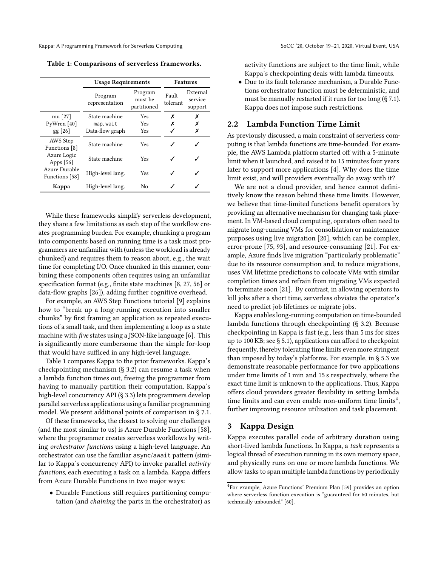<span id="page-2-0"></span>

|                                 | <b>Usage Requirements</b>                                      | <b>Features</b> |                   |                                |
|---------------------------------|----------------------------------------------------------------|-----------------|-------------------|--------------------------------|
|                                 | Program<br>Program<br>must be<br>representation<br>partitioned |                 | Fault<br>tolerant | External<br>service<br>support |
| mu [27]                         | State machine                                                  | х               | Х                 |                                |
| PyWren [40]                     | map, wait                                                      | Yes             |                   |                                |
| $gg$ [26]                       | Data-flow graph                                                | Yes             |                   | Х                              |
| AWS Step<br>Functions [8]       | State machine                                                  | <b>Yes</b>      |                   |                                |
| Azure Logic<br>Apps [56]        | State machine                                                  | <b>Yes</b>      |                   |                                |
| Azure Durable<br>Functions [58] | High-level lang.                                               | <b>Yes</b>      |                   |                                |
| Kappa                           | High-level lang.                                               | No              |                   |                                |

While these frameworks simplify serverless development, they share a few limitations as each step of the workflow creates programming burden. For example, chunking a program into components based on running time is a task most programmers are unfamiliar with (unless the workload is already chunked) and requires them to reason about, e.g., the wait time for completing I/O. Once chunked in this manner, combining these components often requires using an unfamiliar specification format (e.g., finite state machines [\[8,](#page-13-11) [27,](#page-13-4) [56\]](#page-14-8) or data-flow graphs [\[26\]](#page-13-5)), adding further cognitive overhead.

For example, an AWS Step Functions tutorial [\[9\]](#page-13-12) explains how to "break up a long-running execution into smaller chunks" by first framing an application as repeated executions of a small task, and then implementing a loop as a state machine with five states using a JSON-like language [\[6\]](#page-13-13). This is significantly more cumbersome than the simple for-loop that would have sufficed in any high-level language.

Table [1](#page-2-0) compares Kappa to the prior frameworks. Kappa's checkpointing mechanism (§ [3.2\)](#page-4-0) can resume a task when a lambda function times out, freeing the programmer from having to manually partition their computation. Kappa's high-level concurrency API (§ [3.3\)](#page-5-0) lets programmers develop parallel serverless applications using a familiar programming model. We present additional points of comparison in § [7.1.](#page-11-1)

Of these frameworks, the closest to solving our challenges (and the most similar to us) is Azure Durable Functions [\[58\]](#page-14-7), where the programmer creates serverless workflows by writing orchestrator functions using a high-level language. An orchestrator can use the familiar async/await pattern (similar to Kappa's concurrency API) to invoke parallel activity functions, each executing a task on a lambda. Kappa differs from Azure Durable Functions in two major ways:

• Durable Functions still requires partitioning computation (and chaining the parts in the orchestrator) as

activity functions are subject to the time limit, while Kappa's checkpointing deals with lambda timeouts.

• Due to its fault tolerance mechanism, a Durable Functions orchestrator function must be deterministic, and must be manually restarted if it runs for too long (§ [7.1\)](#page-11-1). Kappa does not impose such restrictions.

## 2.2 Lambda Function Time Limit

As previously discussed, a main constraint of serverless computing is that lambda functions are time-bounded. For example, the AWS Lambda platform started off with a 5-minute limit when it launched, and raised it to 15 minutes four years later to support more applications [\[4\]](#page-13-14). Why does the time limit exist, and will providers eventually do away with it?

We are not a cloud provider, and hence cannot definitively know the reason behind these time limits. However, we believe that time-limited functions benefit operators by providing an alternative mechanism for changing task placement. In VM-based cloud computing, operators often need to migrate long-running VMs for consolidation or maintenance purposes using live migration [\[20\]](#page-13-15), which can be complex, error-prone [\[75,](#page-15-6) [93\]](#page-15-7), and resource-consuming [\[21\]](#page-13-16). For example, Azure finds live migration "particularly problematic" due to its resource consumption and, to reduce migrations, uses VM lifetime predictions to colocate VMs with similar completion times and refrain from migrating VMs expected to terminate soon [\[21\]](#page-13-16). By contrast, in allowing operators to kill jobs after a short time, serverless obviates the operator's need to predict job lifetimes or migrate jobs.

Kappa enables long-running computation on time-bounded lambda functions through checkpointing (§ [3.2\)](#page-4-0). Because checkpointing in Kappa is fast (e.g., less than 5 ms for sizes up to 100 KB; see § [5.1\)](#page-7-0), applications can afford to checkpoint frequently, thereby tolerating time limits even more stringent than imposed by today's platforms. For example, in § [5.3](#page-9-0) we demonstrate reasonable performance for two applications under time limits of 1 min and 15 s respectively, where the exact time limit is unknown to the applications. Thus, Kappa offers cloud providers greater flexibility in setting lambda time limits and can even enable non-uniform time limits<sup>[4](#page-2-1)</sup>. further improving resource utilization and task placement.

## 3 Kappa Design

Kappa executes parallel code of arbitrary duration using short-lived lambda functions. In Kappa, a task represents a logical thread of execution running in its own memory space, and physically runs on one or more lambda functions. We allow tasks to span multiple lambda functions by periodically

<span id="page-2-1"></span><sup>4</sup>For example, Azure Functions' Premium Plan [\[59\]](#page-14-9) provides an option where serverless function execution is "guaranteed for 60 minutes, but technically unbounded" [\[60\]](#page-14-10).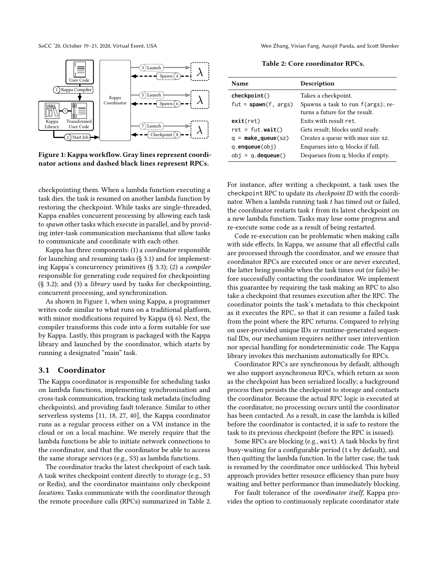<span id="page-3-1"></span>

Figure 1: Kappa workflow. Gray lines represent coordinator actions and dashed black lines represent RPCs.

checkpointing them. When a lambda function executing a task dies, the task is resumed on another lambda function by restoring the checkpoint. While tasks are single-threaded, Kappa enables concurrent processing by allowing each task to spawn other tasks which execute in parallel, and by providing inter-task communication mechanisms that allow tasks to communicate and coordinate with each other.

Kappa has three components: (1) a coordinator responsible for launching and resuming tasks (§ [3.1\)](#page-3-0) and for implementing Kappa's concurrency primitives (§ [3.3\)](#page-5-0); (2) a compiler responsible for generating code required for checkpointing (§ [3.2\)](#page-4-0); and (3) a library used by tasks for checkpointing, concurrent processing, and synchronization.

As shown in Figure [1,](#page-3-1) when using Kappa, a programmer writes code similar to what runs on a traditional platform, with minor modifications required by Kappa (§ [6\)](#page-11-0). Next, the compiler transforms this code into a form suitable for use by Kappa. Lastly, this program is packaged with the Kappa library and launched by the coordinator, which starts by running a designated "main" task.

## <span id="page-3-0"></span>3.1 Coordinator

The Kappa coordinator is responsible for scheduling tasks on lambda functions, implementing synchronization and cross-task communication, tracking task metadata (including checkpoints), and providing fault tolerance. Similar to other serverless systems [\[11,](#page-13-3) [18,](#page-13-10) [27,](#page-13-4) [40\]](#page-14-2), the Kappa coordinator runs as a regular process either on a VM instance in the cloud or on a local machine. We merely require that the lambda functions be able to initiate network connections to the coordinator, and that the coordinator be able to access the same storage services (e.g., S3) as lambda functions.

The coordinator tracks the latest checkpoint of each task. A task writes checkpoint content directly to storage (e.g., S3 or Redis), and the coordinator maintains only checkpoint locations. Tasks communicate with the coordinator through the remote procedure calls (RPCs) summarized in Table [2.](#page-3-2)

SoCC '20, October 19-21, 2020, Virtual Event, USA Wen Zhang, Vivian Fang, Aurojit Panda, and Scott Shenker

Table 2: Core coordinator RPCs.

<span id="page-3-2"></span>

| <b>Name</b>                  | Description                                                         |
|------------------------------|---------------------------------------------------------------------|
| checkpoint()                 | Takes a checkpoint.                                                 |
| fut = $spam(f, args)$        | Spawns a task to run f(args); re-<br>turns a future for the result. |
| exit(ret)                    | Exits with result ret.                                              |
| $ret = fut.wait()$           | Gets result; blocks until ready.                                    |
| $q = \text{make\_queue}(sz)$ | Creates a queue with max size sz.                                   |
| $q$ . enqueue $(obj)$        | Enqueues into q; blocks if full.                                    |
| $obj = q$ . dequeue()        | Dequeues from q; blocks if empty.                                   |

For instance, after writing a checkpoint, a task uses the checkpoint RPC to update its checkpoint ID with the coordinator. When a lambda running task  $t$  has timed out or failed, the coordinator restarts task  $t$  from its latest checkpoint on a new lambda function. Tasks may lose some progress and re-execute some code as a result of being restarted.

Code re-execution can be problematic when making calls with side effects. In Kappa, we assume that all effectful calls are processed through the coordinator, and we ensure that coordinator RPCs are executed once or are never executed, the latter being possible when the task times out (or fails) before successfully contacting the coordinator. We implement this guarantee by requiring the task making an RPC to also take a checkpoint that resumes execution after the RPC. The coordinator points the task's metadata to this checkpoint as it executes the RPC, so that it can resume a failed task from the point where the RPC returns. Compared to relying on user-provided unique IDs or runtime-generated sequential IDs, our mechanism requires neither user intervention nor special handling for nondeterministic code. The Kappa library invokes this mechanism automatically for RPCs.

Coordinator RPCs are synchronous by default, although we also support asynchronous RPCs, which return as soon as the checkpoint has been serialized locally; a background process then persists the checkpoint to storage and contacts the coordinator. Because the actual RPC logic is executed at the coordinator, no processing occurs until the coordinator has been contacted. As a result, in case the lambda is killed before the coordinator is contacted, it is safe to restore the task to its previous checkpoint (before the RPC is issued).

Some RPCs are blocking (e.g., wait). A task blocks by first busy-waiting for a configurable period (1 s by default), and then quitting the lambda function. In the latter case, the task is resumed by the coordinator once unblocked. This hybrid approach provides better resource efficiency than pure busy waiting and better performance than immediately blocking.

For fault tolerance of the coordinator itself, Kappa provides the option to continuously replicate coordinator state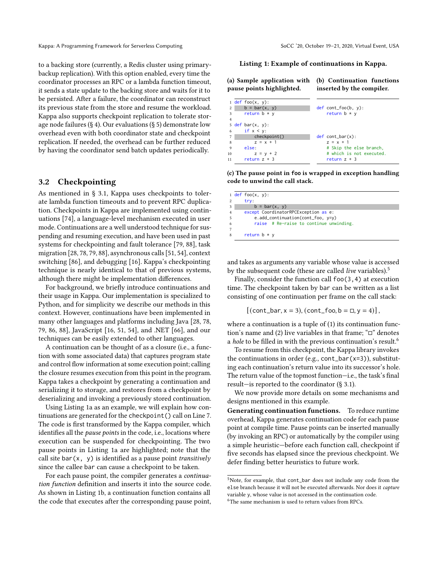to a backing store (currently, a Redis cluster using primarybackup replication). With this option enabled, every time the coordinator processes an RPC or a lambda function timeout, it sends a state update to the backing store and waits for it to be persisted. After a failure, the coordinator can reconstruct its previous state from the store and resume the workload. Kappa also supports checkpoint replication to tolerate stor-age node failures (§ [4\)](#page-6-1). Our evaluations (§ [5\)](#page-6-2) demonstrate low overhead even with both coordinator state and checkpoint replication. If needed, the overhead can be further reduced by having the coordinator send batch updates periodically.

## <span id="page-4-0"></span>3.2 Checkpointing

As mentioned in § [3.1,](#page-3-0) Kappa uses checkpoints to tolerate lambda function timeouts and to prevent RPC duplication. Checkpoints in Kappa are implemented using continuations [\[74\]](#page-15-8), a language-level mechanism executed in user mode. Continuations are a well understood technique for suspending and resuming execution, and have been used in past systems for checkpointing and fault tolerance [\[79,](#page-15-9) [88\]](#page-15-10), task migration [\[28,](#page-13-17) [78,](#page-15-11) [79,](#page-15-9) [88\]](#page-15-10), asynchronous calls [\[51,](#page-14-11) [54\]](#page-14-12), context switching [\[86\]](#page-15-12), and debugging [\[16\]](#page-13-18). Kappa's checkpointing technique is nearly identical to that of previous systems, although there might be implementation differences.

For background, we briefly introduce continuations and their usage in Kappa. Our implementation is specialized to Python, and for simplicity we describe our methods in this context. However, continuations have been implemented in many other languages and platforms including Java [\[28,](#page-13-17) [78,](#page-15-11) [79,](#page-15-9) [86,](#page-15-12) [88\]](#page-15-10), JavaScript [\[16,](#page-13-18) [51,](#page-14-11) [54\]](#page-14-12), and .NET [\[66\]](#page-14-13), and our techniques can be easily extended to other languages.

A continuation can be thought of as a closure (i.e., a function with some associated data) that captures program state and control flow information at some execution point; calling the closure resumes execution from this point in the program. Kappa takes a checkpoint by generating a continuation and serializing it to storage, and restores from a checkpoint by deserializing and invoking a previously stored continuation.

Using Listing [1a](#page-4-1) as an example, we will explain how continuations are generated for the checkpoint() call on Line 7. The code is first transformed by the Kappa compiler, which identifies all the pause points in the code, i.e., locations where execution can be suspended for checkpointing. The two pause points in Listing [1a](#page-4-1) are highlighted; note that the call site bar $(x, y)$  is identified as a pause point *transitively* since the callee bar can cause a checkpoint to be taken.

For each pause point, the compiler generates a continuation function definition and inserts it into the source code. As shown in Listing [1b,](#page-4-1) a continuation function contains all the code that executes after the corresponding pause point, <span id="page-4-1"></span>Listing 1: Example of continuations in Kappa.

(a) Sample application with pause points highlighted. (b) Continuation functions inserted by the compiler.

|                | $1$ def foo $(x, y)$ : |                          |
|----------------|------------------------|--------------------------|
| $\mathbf{2}$   | $b = bar(x, y)$        | $def cont_foo(b, y)$ :   |
| 3              | return $b * y$         | return $b * y$           |
| $\overline{4}$ |                        |                          |
|                | 5 def bar $(x, y)$ :   |                          |
| 6              | if $x < y$ :           |                          |
| 7              | checkpoint()           | $def cont_bar(x)$ :      |
| 8              | $z = x + 1$            | $z = x + 1$              |
| 9              | else:                  | # Skip the else branch,  |
| 10             | $z = y + 2$            | # which is not executed. |
| 11             | return $z + 3$         | return $z + 3$           |

(c) The pause point in **foo** is wrapped in exception handling code to unwind the call stack.

| $1$ def foo $(x, y)$ :                  |
|-----------------------------------------|
| try:                                    |
| $b = bar(x, y)$                         |
| except CoordinatorRPCException as e:    |
| $e.add_{continuation(cont_{foo}, v=y)}$ |
| raise # Re-raise to continue unwinding. |
|                                         |
| return $b * y$                          |
|                                         |

and takes as arguments any variable whose value is accessed by the subsequent code (these are called *live* variables).<sup>[5](#page-4-2)</sup>

Finally, consider the function call foo(3,4) at execution time. The checkpoint taken by bar can be written as a list consisting of one continuation per frame on the call stack:

$$
[(cont\_bar, x = 3), (cont\_foo, b = \Box, y = 4)],
$$

where a continuation is a tuple of (1) its continuation function's name and (2) live variables in that frame; "□" denotes a hole to be filled in with the previous continuation's result.<sup>[6](#page-4-3)</sup>

To resume from this checkpoint, the Kappa library invokes the continuations in order (e.g.,  $cont\_bar(x=3)$ ), substituting each continuation's return value into its successor's hole. The return value of the topmost function—i.e., the task's final result—is reported to the coordinator (§ [3.1\)](#page-3-0).

We now provide more details on some mechanisms and designs mentioned in this example.

Generating continuation functions. To reduce runtime overhead, Kappa generates continuation code for each pause point at compile time. Pause points can be inserted manually (by invoking an RPC) or automatically by the compiler using a simple heuristic—before each function call, checkpoint if five seconds has elapsed since the previous checkpoint. We defer finding better heuristics to future work.

<span id="page-4-3"></span><span id="page-4-2"></span><sup>5</sup>Note, for example, that cont\_bar does not include any code from the else branch because it will not be executed afterwards. Nor does it capture variable y, whose value is not accessed in the continuation code.  $^6$  The same mechanism is used to return values from RPCs.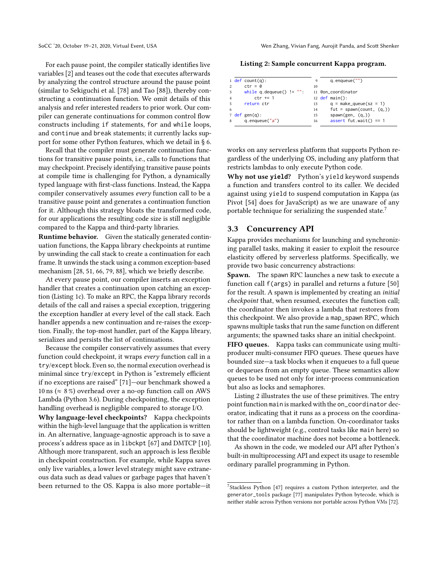SoCC '20, October 19-21, 2020, Virtual Event, USA Wen Zhang, Vivian Fang, Aurojit Panda, and Scott Shenker

For each pause point, the compiler statically identifies live variables [\[2\]](#page-12-1) and teases out the code that executes afterwards by analyzing the control structure around the pause point (similar to Sekiguchi et al. [\[78\]](#page-15-11) and Tao [\[88\]](#page-15-10)), thereby constructing a continuation function. We omit details of this analysis and refer interested readers to prior work. Our compiler can generate continuations for common control flow constructs including if statements, for and while loops, and continue and break statements; it currently lacks support for some other Python features, which we detail in § [6.](#page-11-0)

Recall that the compiler must generate continuation functions for transitive pause points, i.e., calls to functions that may checkpoint. Precisely identifying transitive pause points at compile time is challenging for Python, a dynamically typed language with first-class functions. Instead, the Kappa compiler conservatively assumes every function call to be a transitive pause point and generates a continuation function for it. Although this strategy bloats the transformed code, for our applications the resulting code size is still negligible compared to the Kappa and third-party libraries.

Runtime behavior. Given the statically generated continuation functions, the Kappa library checkpoints at runtime by unwinding the call stack to create a continuation for each frame. It unwinds the stack using a common exception-based mechanism [\[28,](#page-13-17) [51,](#page-14-11) [66,](#page-14-13) [79,](#page-15-9) [88\]](#page-15-10), which we briefly describe.

At every pause point, our compiler inserts an exception handler that creates a continuation upon catching an exception (Listing [1c\)](#page-4-1). To make an RPC, the Kappa library records details of the call and raises a special exception, triggering the exception handler at every level of the call stack. Each handler appends a new continuation and re-raises the exception. Finally, the top-most handler, part of the Kappa library, serializes and persists the list of continuations.

Because the compiler conservatively assumes that every function could checkpoint, it wraps every function call in a try/except block. Even so, the normal execution overhead is minimal since try/except in Python is "extremely efficient if no exceptions are raised" [\[71\]](#page-15-13)—our benchmark showed a 10 ns ( $\approx 8\%$ ) overhead over a no-op function call on AWS Lambda (Python 3.6). During checkpointing, the exception handling overhead is negligible compared to storage I/O.

Why language-level checkpoints? Kappa checkpoints within the high-level language that the application is written in. An alternative, language-agnostic approach is to save a process's address space as in libckpt [\[67\]](#page-14-14) and DMTCP [\[10\]](#page-13-19). Although more transparent, such an approach is less flexible in checkpoint construction. For example, while Kappa saves only live variables, a lower level strategy might save extraneous data such as dead values or garbage pages that haven't been returned to the OS. Kappa is also more portable—it

<span id="page-5-2"></span>Listing 2: Sample concurrent Kappa program.

|                | 1 def count(q):              | 9  | $q$ . enqueue $("")$              |
|----------------|------------------------------|----|-----------------------------------|
| $\mathfrak{D}$ | $ctr = \theta$               | 10 |                                   |
| 3              | while $q$ dequeue() $!=$ "": |    | 11 @on coordinator                |
| $\overline{4}$ | $ctr += 1$                   |    | $12 \text{ def } \text{main}()$ : |
| 5              | return ctr                   | 13 | $q = make\_queue(sz = 1)$         |
| 6              |                              | 14 | $fut = spam(count, (q,))$         |
|                | 7 def gen $(q)$ :            | 15 | spam(gen, (q,))                   |
| 8              | q.enqueue("a")               | 16 | assert fut.wait() == $1$          |
|                |                              |    |                                   |

works on any serverless platform that supports Python regardless of the underlying OS, including any platform that restricts lambdas to only execute Python code.

Why not use **yield**? Python's yield keyword suspends a function and transfers control to its caller. We decided against using yield to suspend computation in Kappa (as Pivot [\[54\]](#page-14-12) does for JavaScript) as we are unaware of any portable technique for serializing the suspended state.<sup>[7](#page-5-1)</sup>

### <span id="page-5-0"></span>3.3 Concurrency API

Kappa provides mechanisms for launching and synchronizing parallel tasks, making it easier to exploit the resource elasticity offered by serverless platforms. Specifically, we provide two basic concurrency abstractions:

Spawn. The spawn RPC launches a new task to execute a function call f(args) in parallel and returns a future [\[50\]](#page-14-15) for the result. A spawn is implemented by creating an initial checkpoint that, when resumed, executes the function call; the coordinator then invokes a lambda that restores from this checkpoint. We also provide a map\_spawn RPC, which spawns multiple tasks that run the same function on different arguments; the spawned tasks share an initial checkpoint.

FIFO queues. Kappa tasks can communicate using multiproducer multi-consumer FIFO queues. These queues have bounded size—a task blocks when it enqueues to a full queue or dequeues from an empty queue. These semantics allow queues to be used not only for inter-process communication but also as locks and semaphores.

Listing [2](#page-5-2) illustrates the use of these primitives. The entry point function main is marked with the on\_coordinator decorator, indicating that it runs as a process on the coordinator rather than on a lambda function. On-coordinator tasks should be lightweight (e.g., control tasks like main here) so that the coordinator machine does not become a bottleneck.

As shown in the code, we modeled our API after Python's built-in multiprocessing API and expect its usage to resemble ordinary parallel programming in Python.

<span id="page-5-1"></span><sup>7</sup>Stackless Python [\[47\]](#page-14-16) requires a custom Python interpreter, and the generator\_tools package [\[77\]](#page-15-14) manipulates Python bytecode, which is neither stable across Python versions nor portable across Python VMs [\[72\]](#page-15-15).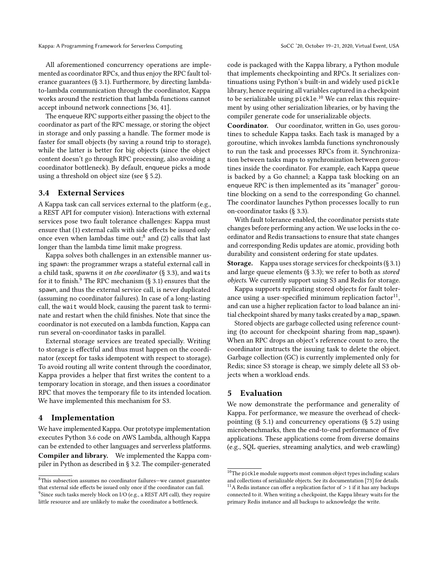All aforementioned concurrency operations are implemented as coordinator RPCs, and thus enjoy the RPC fault tolerance guarantees (§ [3.1\)](#page-3-0). Furthermore, by directing lambdato-lambda communication through the coordinator, Kappa works around the restriction that lambda functions cannot accept inbound network connections [\[36,](#page-14-17) [41\]](#page-14-6).

The enqueue RPC supports either passing the object to the coordinator as part of the RPC message, or storing the object in storage and only passing a handle. The former mode is faster for small objects (by saving a round trip to storage), while the latter is better for big objects (since the object content doesn't go through RPC processing, also avoiding a coordinator bottleneck). By default, enqueue picks a mode using a threshold on object size (see § [5.2\)](#page-7-1).

### <span id="page-6-0"></span>3.4 External Services

A Kappa task can call services external to the platform (e.g., a REST API for computer vision). Interactions with external services pose two fault tolerance challenges: Kappa must ensure that (1) external calls with side effects be issued only once even when lambdas time out:<sup>[8](#page-6-3)</sup> and (2) calls that last longer than the lambda time limit make progress.

Kappa solves both challenges in an extensible manner using spawn: the programmer wraps a stateful external call in a child task, spawns it on the coordinator  $(\S 3.3)$  $(\S 3.3)$ , and waits for it to finish.<sup>[9](#page-6-4)</sup> The RPC mechanism  $(\S 3.1)$  $(\S 3.1)$  ensures that the spawn, and thus the external service call, is never duplicated (assuming no coordinator failures). In case of a long-lasting call, the wait would block, causing the parent task to terminate and restart when the child finishes. Note that since the coordinator is not executed on a lambda function, Kappa can run several on-coordinator tasks in parallel.

External storage services are treated specially. Writing to storage is effectful and thus must happen on the coordinator (except for tasks idempotent with respect to storage). To avoid routing all write content through the coordinator, Kappa provides a helper that first writes the content to a temporary location in storage, and then issues a coordinator RPC that moves the temporary file to its intended location. We have implemented this mechanism for S3.

#### <span id="page-6-1"></span>4 Implementation

We have implemented Kappa. Our prototype implementation executes Python 3.6 code on AWS Lambda, although Kappa can be extended to other languages and serverless platforms. Compiler and library. We implemented the Kappa compiler in Python as described in § [3.2.](#page-4-0) The compiler-generated

code is packaged with the Kappa library, a Python module that implements checkpointing and RPCs. It serializes continuations using Python's built-in and widely used pickle library, hence requiring all variables captured in a checkpoint to be serializable using pickle. [10](#page-6-5) We can relax this requirement by using other serialization libraries, or by having the compiler generate code for unserializable objects.

Coordinator. Our coordinator, written in Go, uses goroutines to schedule Kappa tasks. Each task is managed by a goroutine, which invokes lambda functions synchronously to run the task and processes RPCs from it. Synchronization between tasks maps to synchronization between goroutines inside the coordinator. For example, each Kappa queue is backed by a Go channel; a Kappa task blocking on an enqueue RPC is then implemented as its "manager" goroutine blocking on a send to the corresponding Go channel. The coordinator launches Python processes locally to run on-coordinator tasks (§ [3.3\)](#page-5-0).

With fault tolerance enabled, the coordinator persists state changes before performing any action. We use locks in the coordinator and Redis transactions to ensure that state changes and corresponding Redis updates are atomic, providing both durability and consistent ordering for state updates.

Storage. Kappa uses storage services for checkpoints (§ [3.1\)](#page-3-0) and large queue elements ( $\S$  [3.3\)](#page-5-0); we refer to both as stored objects. We currently support using S3 and Redis for storage.

Kappa supports replicating stored objects for fault toler-ance using a user-specified minimum replication factor<sup>[11](#page-6-6)</sup>. and can use a higher replication factor to load balance an initial checkpoint shared by many tasks created by a map\_spawn.

Stored objects are garbage collected using reference counting (to account for checkpoint sharing from map\_spawn). When an RPC drops an object's reference count to zero, the coordinator instructs the issuing task to delete the object. Garbage collection (GC) is currently implemented only for Redis; since S3 storage is cheap, we simply delete all S3 objects when a workload ends.

#### <span id="page-6-2"></span>5 Evaluation

We now demonstrate the performance and generality of Kappa. For performance, we measure the overhead of checkpointing (§ [5.1\)](#page-7-0) and concurrency operations (§ [5.2\)](#page-7-1) using microbenchmarks, then the end-to-end performance of five applications. These applications come from diverse domains (e.g., SQL queries, streaming analytics, and web crawling)

<span id="page-6-4"></span><span id="page-6-3"></span><sup>8</sup>This subsection assumes no coordinator failures—we cannot guarantee that external side effects be issued only once if the coordinator can fail. <sup>9</sup>Since such tasks merely block on I/O (e.g., a REST API call), they require little resource and are unlikely to make the coordinator a bottleneck.

<span id="page-6-6"></span><span id="page-6-5"></span> $^{10}\mathrm{The~pickle}$  module supports most common object types including scalars and collections of serializable objects. See its documentation [\[73\]](#page-15-16) for details.  $^{11}{\rm A}$  Redis instance can offer a replication factor of  $>1$  if it has any backups connected to it. When writing a checkpoint, the Kappa library waits for the primary Redis instance and all backups to acknowledge the write.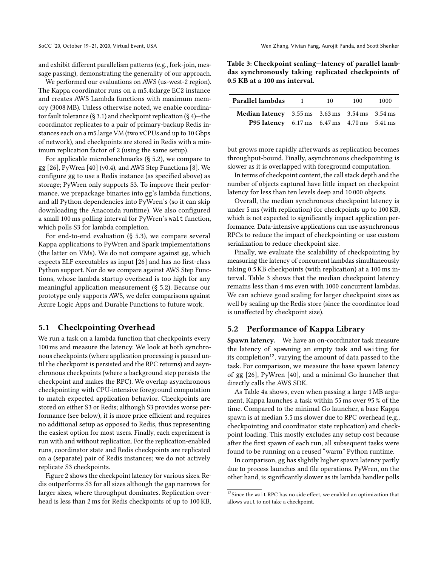and exhibit different parallelism patterns (e.g., fork-join, message passing), demonstrating the generality of our approach.

We performed our evaluations on AWS (us-west-2 region). The Kappa coordinator runs on a m5.4xlarge EC2 instance and creates AWS Lambda functions with maximum memory (3008 MB). Unless otherwise noted, we enable coordina-tor fault tolerance (§ [3.1\)](#page-3-0) and checkpoint replication (§ [4\)](#page-6-1)—the coordinator replicates to a pair of primary-backup Redis instances each on a m5.large VM (two vCPUs and up to 10 Gbps of network), and checkpoints are stored in Redis with a minimum replication factor of 2 (using the same setup).

For applicable microbenchmarks (§ [5.2\)](#page-7-1), we compare to gg [\[26\]](#page-13-5), PyWren [\[40\]](#page-14-2) (v0.4), and AWS Step Functions [\[8\]](#page-13-11). We configure gg to use a Redis instance (as specified above) as storage; PyWren only supports S3. To improve their performance, we prepackage binaries into gg's lambda functions, and all Python dependencies into PyWren's (so it can skip downloading the Anaconda runtime). We also configured a small 100 ms polling interval for PyWren's wait function, which polls S3 for lambda completion.

For end-to-end evaluation (§ [5.3\)](#page-9-0), we compare several Kappa applications to PyWren and Spark implementations (the latter on VMs). We do not compare against gg, which expects ELF executables as input [\[26\]](#page-13-5) and has no first-class Python support. Nor do we compare against AWS Step Functions, whose lambda startup overhead is too high for any meaningful application measurement (§ [5.2\)](#page-7-1). Because our prototype only supports AWS, we defer comparisons against Azure Logic Apps and Durable Functions to future work.

#### <span id="page-7-0"></span>5.1 Checkpointing Overhead

We run a task on a lambda function that checkpoints every 100 ms and measure the latency. We look at both synchronous checkpoints (where application processing is paused until the checkpoint is persisted and the RPC returns) and asynchronous checkpoints (where a background step persists the checkpoint and makes the RPC). We overlap asynchronous checkpointing with CPU-intensive foreground computation to match expected application behavior. Checkpoints are stored on either S3 or Redis; although S3 provides worse performance (see below), it is more price efficient and requires no additional setup as opposed to Redis, thus representing the easiest option for most users. Finally, each experiment is run with and without replication. For the replication-enabled runs, coordinator state and Redis checkpoints are replicated on a (separate) pair of Redis instances; we do not actively replicate S3 checkpoints.

Figure [2](#page-8-0) shows the checkpoint latency for various sizes. Redis outperforms S3 for all sizes although the gap narrows for larger sizes, where throughput dominates. Replication overhead is less than 2 ms for Redis checkpoints of up to 100 KB,

<span id="page-7-2"></span>

| Table 3: Checkpoint scaling-latency of parallel lamb- |
|-------------------------------------------------------|
| das synchronously taking replicated checkpoints of    |
| 0.5 KB at a 100 ms interval.                          |

| Parallel lambdas                                                                              | $\blacksquare$ | 10 | 100 | 1000 |  |
|-----------------------------------------------------------------------------------------------|----------------|----|-----|------|--|
| <b>Median latency</b> $3.55 \text{ ms}$ $3.63 \text{ ms}$ $3.54 \text{ ms}$ $3.54 \text{ ms}$ |                |    |     |      |  |
| <b>P95 latency</b> 6.17 ms 6.47 ms 4.70 ms 5.41 ms                                            |                |    |     |      |  |

but grows more rapidly afterwards as replication becomes throughput-bound. Finally, asynchronous checkpointing is slower as it is overlapped with foreground computation.

In terms of checkpoint content, the call stack depth and the number of objects captured have little impact on checkpoint latency for less than ten levels deep and 10 000 objects.

Overall, the median synchronous checkpoint latency is under 5 ms (with replication) for checkpoints up to 100 KB, which is not expected to significantly impact application performance. Data-intensive applications can use asynchronous RPCs to reduce the impact of checkpointing or use custom serialization to reduce checkpoint size.

Finally, we evaluate the scalability of checkpointing by measuring the latency of concurrent lambdas simultaneously taking 0.5 KB checkpoints (with replication) at a 100 ms interval. Table [3](#page-7-2) shows that the median checkpoint latency remains less than 4 ms even with 1000 concurrent lambdas. We can achieve good scaling for larger checkpoint sizes as well by scaling up the Redis store (since the coordinator load is unaffected by checkpoint size).

## <span id="page-7-1"></span>5.2 Performance of Kappa Library

Spawn latency. We have an on-coordinator task measure the latency of spawning an empty task and waiting for its completion<sup>[12](#page-7-3)</sup>, varying the amount of data passed to the task. For comparison, we measure the base spawn latency of gg [\[26\]](#page-13-5), PyWren [\[40\]](#page-14-2), and a minimal Go launcher that directly calls the AWS SDK.

As Table [4a](#page-8-1) shows, even when passing a large 1 MB argument, Kappa launches a task within 55 ms over 95 % of the time. Compared to the minimal Go launcher, a base Kappa spawn is at median 5.5 ms slower due to RPC overhead (e.g., checkpointing and coordinator state replication) and checkpoint loading. This mostly excludes any setup cost because after the first spawn of each run, all subsequent tasks were found to be running on a reused "warm" Python runtime.

In comparison, gg has slightly higher spawn latency partly due to process launches and file operations. PyWren, on the other hand, is significantly slower as its lambda handler polls

<span id="page-7-3"></span> $^{12}\rm S$ ince the wait RPC has no side effect, we enabled an optimization that allows wait to not take a checkpoint.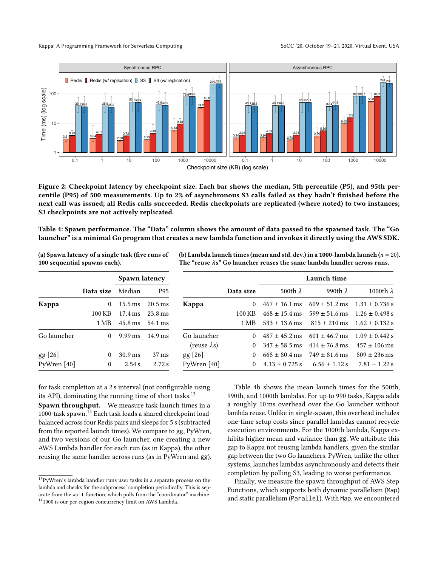<span id="page-8-0"></span>

Figure 2: Checkpoint latency by checkpoint size. Each bar shows the median, 5th percentile (P5), and 95th percentile (P95) of 500 measurements. Up to 2% of asynchronous S3 calls failed as they hadn't finished before the next call was issued; all Redis calls succeeded. Redis checkpoints are replicated (where noted) to two instances; S3 checkpoints are not actively replicated.

<span id="page-8-1"></span>Table 4: Spawn performance. The "Data" column shows the amount of data passed to the spawned task. The "Go launcher" is a minimal Go program that creates a new lambda function and invokes it directly using the AWS SDK.

(a) Spawn latency of a single task (five runs of 100 sequential spawns each).

| (b) Lambda launch times (mean and std. dev.) in a 1000-lambda launch ( $n=20$ ). |  |
|----------------------------------------------------------------------------------|--|
| The "reuse $\lambda$ s" Go launcher reuses the same lambda handler across runs.  |  |

|             |           | Spawn latency        |                      |                     |           | Launch time        |                   |                    |
|-------------|-----------|----------------------|----------------------|---------------------|-----------|--------------------|-------------------|--------------------|
|             | Data size | Median               | P95                  |                     | Data size | 500th $\lambda$    | 990th $\lambda$   | 1000th $\lambda$   |
| Kappa       | $\Omega$  | $15.5 \,\mathrm{ms}$ | $20.5 \,\mathrm{ms}$ | Kappa               | 0         | $467 \pm 16.1$ ms  | $609 \pm 51.2$ ms | $1.31 \pm 0.736$ s |
|             | 100 KB    | $17.4 \text{ ms}$    | $23.8 \,\mathrm{ms}$ |                     | 100 KB    | $468 \pm 15.4$ ms  | $599 \pm 51.6$ ms | $1.26 \pm 0.498$ s |
|             | 1 MB      | $45.8 \,\mathrm{ms}$ | 54.1 ms              |                     | 1 MB      | $533 \pm 13.6$ ms  | $815 \pm 210$ ms  | $1.62 \pm 0.132$ s |
| Go launcher | 0         | $9.99 \,\mathrm{ms}$ | $14.9 \,\mathrm{ms}$ | Go launcher         | 0         | $487 + 45.2$ ms    | $601 \pm 46.7$ ms | $1.09 \pm 0.442$ s |
|             |           |                      |                      | $(reuse \lambda s)$ | $\Omega$  | $347 \pm 58.5$ ms  | $414 \pm 76.8$ ms | $457 \pm 106$ ms   |
| gg [26]     | $\theta$  | $30.9 \,\mathrm{ms}$ | $37 \text{ ms}$      | $gg$ [26]           | 0         | $668 \pm 80.4$ ms  | $749 \pm 81.6$ ms | $809 \pm 236$ ms   |
| PyWren [40] | $\theta$  | 2.54 s               | 2.72s                | PyWren [40]         | 0         | $4.13 \pm 0.725$ s | $6.56 \pm 1.12$ s | $7.81 \pm 1.22$ s  |

for task completion at a 2 s interval (not configurable using its API), dominating the running time of short tasks. $^{13}$  $^{13}$  $^{13}$ 

Spawn throughput. We measure task launch times in a 1000-task spawn.[14](#page-8-3) Each task loads a shared checkpoint loadbalanced across four Redis pairs and sleeps for 5 s(subtracted from the reported launch times). We compare to gg, PyWren, and two versions of our Go launcher, one creating a new AWS Lambda handler for each run (as in Kappa), the other reusing the same handler across runs (as in PyWren and gg).

Table [4b](#page-8-1) shows the mean launch times for the 500th, 990th, and 1000th lambdas. For up to 990 tasks, Kappa adds a roughly 10 ms overhead over the Go launcher without lambda reuse. Unlike in single-spawn, this overhead includes one-time setup costs since parallel lambdas cannot recycle execution environments. For the 1000th lambda, Kappa exhibits higher mean and variance than gg. We attribute this gap to Kappa not reusing lambda handlers, given the similar gap between the two Go launchers. PyWren, unlike the other systems, launches lambdas asynchronously and detects their completion by polling S3, leading to worse performance.

Finally, we measure the spawn throughput of AWS Step Functions, which supports both dynamic parallelism (Map) and static parallelism (Parallel). With Map, we encountered

<span id="page-8-3"></span><span id="page-8-2"></span> $\rm ^{13}PyWren's$  lambda handler runs user tasks in a separate process on the lambda and checks for the subprocess' completion periodically. This is separate from the wait function, which polls from the "coordinator" machine.  $^{14}$  1000 is our per-region concurrency limit on AWS Lambda.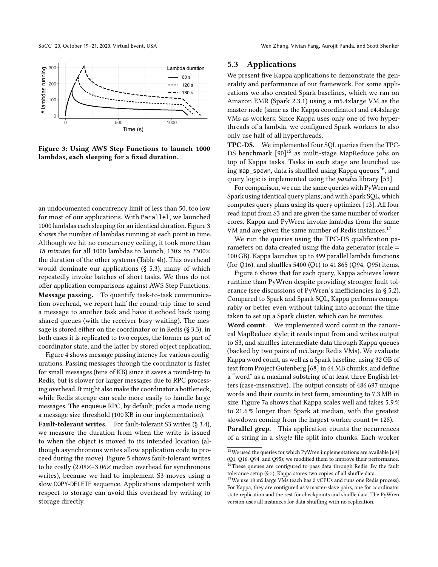SoCC '20, October 19-21, 2020, Virtual Event, USA Wen Zhang, Vivian Fang, Aurojit Panda, and Scott Shenker

<span id="page-9-1"></span>

Figure 3: Using AWS Step Functions to launch 1000 lambdas, each sleeping for a fixed duration.

an undocumented concurrency limit of less than 50, too low for most of our applications. With Parallel, we launched 1000 lambdas each sleeping for an identical duration. Figure [3](#page-9-1) shows the number of lambdas running at each point in time. Although we hit no concurrency ceiling, it took more than 18 minutes for all 1000 lambdas to launch,  $130\times$  to 2300 $\times$ the duration of the other systems (Table [4b\)](#page-8-1). This overhead would dominate our applications (§ [5.3\)](#page-9-0), many of which repeatedly invoke batches of short tasks. We thus do not offer application comparisons against AWS Step Functions. Message passing. To quantify task-to-task communication overhead, we report half the round-trip time to send a message to another task and have it echoed back using shared queues (with the receiver busy-waiting). The message is stored either on the coordinator or in Redis (§ [3.3\)](#page-5-0); in both cases it is replicated to two copies, the former as part of coordinator state, and the latter by stored object replication.

Figure [4](#page-10-0) shows message passing latency for various configurations. Passing messages through the coordinator is faster for small messages (tens of KB) since it saves a round-trip to Redis, but is slower for larger messages due to RPC processing overhead. It might also make the coordinator a bottleneck, while Redis storage can scale more easily to handle large messages. The enqueue RPC, by default, picks a mode using a message size threshold (100 KB in our implementation).

<span id="page-9-0"></span>Fault-tolerant writes. For fault-tolerant S3 writes (§ [3.4\)](#page-6-0), we measure the duration from when the write is issued to when the object is moved to its intended location (although asynchronous writes allow application code to proceed during the move). Figure [5](#page-10-0) shows fault-tolerant writes to be costly (2.08×–3.06× median overhead for synchronous writes), because we had to implement S3 moves using a slow COPY-DELETE sequence. Applications idempotent with respect to storage can avoid this overhead by writing to storage directly.

#### 5.3 Applications

We present five Kappa applications to demonstrate the generality and performance of our framework. For some applications we also created Spark baselines, which we ran on Amazon EMR (Spark 2.3.1) using a m5.4xlarge VM as the master node (same as the Kappa coordinator) and c4.4xlarge VMs as workers. Since Kappa uses only one of two hyperthreads of a lambda, we configured Spark workers to also only use half of all hyperthreads.

TPC-DS. We implemented four SQL queries from the TPC-DS benchmark [\[90\]](#page-15-17) [15](#page-9-2) as multi-stage MapReduce jobs on top of Kappa tasks. Tasks in each stage are launched us-ing map\_spawn, data is shuffled using Kappa queues<sup>[16](#page-9-3)</sup>, and query logic is implemented using the pandas library [\[53\]](#page-14-18).

For comparison, we run the same queries with PyWren and Spark using identical query plans; and with Spark SQL, which computes query plans using its query optimizer [\[13\]](#page-13-20). All four read input from S3 and are given the same number of worker cores. Kappa and PyWren invoke lambdas from the same VM and are given the same number of Redis instances.<sup>[17](#page-9-4)</sup>

We run the queries using the TPC-DS qualification parameters on data created using the data generator (scale = 100 GB). Kappa launches up to 499 parallel lambda functions (for Q16), and shuffles 5400 (Q1) to 41 865 (Q94, Q95) items.

Figure [6](#page-10-0) shows that for each query, Kappa achieves lower runtime than PyWren despite providing stronger fault tolerance (see discussions of PyWren's inefficiencies in § [5.2\)](#page-7-1). Compared to Spark and Spark SQL, Kappa performs comparably or better even without taking into account the time taken to set up a Spark cluster, which can be minutes.

Word count. We implemented word count in the canonical MapReduce style; it reads input from and writes output to S3, and shuffles intermediate data through Kappa queues (backed by two pairs of m5.large Redis VMs). We evaluate Kappa word count, as well as a Spark baseline, using 32 GB of text from Project Gutenberg [\[68\]](#page-15-18) in 64 MB chunks, and define a "word" as a maximal substring of at least three English letters (case-insensitive). The output consists of 486 697 unique words and their counts in text form, amounting to 7.3 MB in size. Figure [7a](#page-10-1) shows that Kappa scales well and takes 5.9 % to 21.6 % longer than Spark at median, with the greatest slowdown coming from the largest worker count (= 128).

Parallel grep. This application counts the occurrences of a string in a single file split into chunks. Each worker

<span id="page-9-3"></span><span id="page-9-2"></span> $^{15}\mathrm{We}$  used the queries for which PyWren implementations are available [\[69\]](#page-15-19) (Q1, Q16, Q94, and Q95); we modified them to improve their performance.  $\frac{16}{16}$ These queues are configured to pass data through Redis. By the fault tolerance setup (§ [5\)](#page-6-2), Kappa stores two copies of all shuffle data.

<span id="page-9-4"></span><sup>&</sup>lt;sup>17</sup>We use 18 m5.large VMs (each has 2 vCPUs and runs one Redis process). For Kappa, they are configured as 9 master-slave pairs, one for coordinator state replication and the rest for checkpoints and shuffle data. The PyWren version uses all instances for data shuffling with no replication.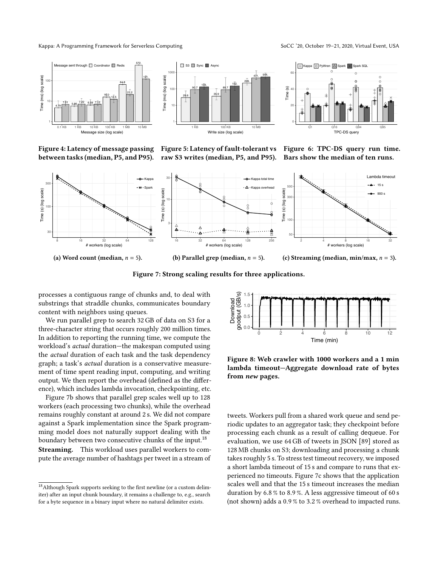Kappa: A Programming Framework for Serverless Computing SoCC '20, October 19-21, 2020, Virtual Event, USA

<span id="page-10-0"></span>



20 40 60 Q1 Q16 Q94 Q95 TPC-DS query Time (s)  $\overline{+}$  Kappa  $\overline{\circ}$  PyWren  $\overline{\triangle}$ 

Figure 4: Latency of message passing between tasks (median, P5, and P95).

Figure 5: Latency of fault-tolerant vs raw S3 writes (median, P5, and P95).

Figure 6: TPC-DS query run time. Bars show the median of ten runs.

<span id="page-10-1"></span>

Figure 7: Strong scaling results for three applications.

processes a contiguous range of chunks and, to deal with substrings that straddle chunks, communicates boundary content with neighbors using queues.

We run parallel grep to search 32 GB of data on S3 for a three-character string that occurs roughly 200 million times. In addition to reporting the running time, we compute the workload's actual duration—the makespan computed using the actual duration of each task and the task dependency graph; a task's actual duration is a conservative measurement of time spent reading input, computing, and writing output. We then report the overhead (defined as the difference), which includes lambda invocation, checkpointing, etc.

Figure [7b](#page-10-1) shows that parallel grep scales well up to 128 workers (each processing two chunks), while the overhead remains roughly constant at around 2 s. We did not compare against a Spark implementation since the Spark programming model does not naturally support dealing with the boundary between two consecutive chunks of the input.<sup>[18](#page-10-2)</sup> Streaming. This workload uses parallel workers to compute the average number of hashtags per tweet in a stream of

<span id="page-10-3"></span>

Figure 8: Web crawler with 1000 workers and a 1 min lambda timeout—Aggregate download rate of bytes from new pages.

tweets. Workers pull from a shared work queue and send periodic updates to an aggregator task; they checkpoint before processing each chunk as a result of calling dequeue. For evaluation, we use 64 GB of tweets in JSON [\[89\]](#page-15-20) stored as 128 MB chunks on S3; downloading and processing a chunk takes roughly 5 s. To stress test timeout recovery, we imposed a short lambda timeout of 15 s and compare to runs that experienced no timeouts. Figure [7c](#page-10-1) shows that the application scales well and that the 15 s timeout increases the median duration by 6.8 % to 8.9 %. A less aggressive timeout of 60 s (not shown) adds a 0.9 % to 3.2 % overhead to impacted runs.

<span id="page-10-2"></span> $^{18}\rm{Although}$  Spark supports seeking to the first newline (or a custom delimiter) after an input chunk boundary, it remains a challenge to, e.g., search for a byte sequence in a binary input where no natural delimiter exists.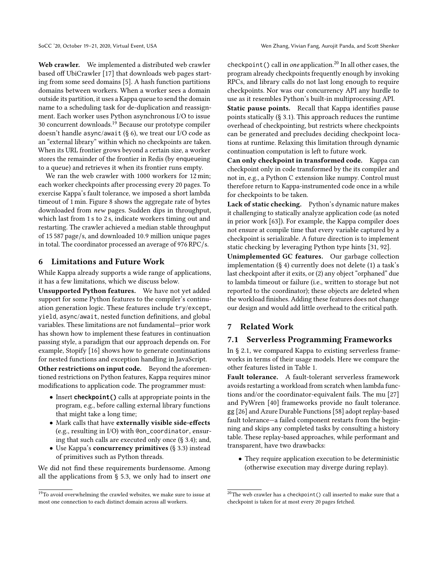Web crawler. We implemented a distributed web crawler based off UbiCrawler [\[17\]](#page-13-21) that downloads web pages starting from some seed domains [\[5\]](#page-13-22). A hash function partitions domains between workers. When a worker sees a domain outside its partition, it uses a Kappa queue to send the domain name to a scheduling task for de-duplication and reassignment. Each worker uses Python asynchronous I/O to issue 30 concurrent downloads.[19](#page-11-2) Because our prototype compiler doesn't handle async/await (§ [6\)](#page-11-0), we treat our I/O code as an "external library" within which no checkpoints are taken. When its URL frontier grows beyond a certain size, a worker stores the remainder of the frontier in Redis (by enqueueing to a queue) and retrieves it when its frontier runs empty.

We ran the web crawler with 1000 workers for 12 min; each worker checkpoints after processing every 20 pages. To exercise Kappa's fault tolerance, we imposed a short lambda timeout of 1 min. Figure [8](#page-10-3) shows the aggregate rate of bytes downloaded from new pages. Sudden dips in throughput, which last from 1 s to 2 s, indicate workers timing out and restarting. The crawler achieved a median stable throughput of 15 587 page/s, and downloaded 10.9 million unique pages in total. The coordinator processed an average of 976 RPC/s.

## <span id="page-11-0"></span>6 Limitations and Future Work

While Kappa already supports a wide range of applications, it has a few limitations, which we discuss below.

Unsupported Python features. We have not yet added support for some Python features to the compiler's continuation generation logic. These features include try/except, yield, async/await, nested function definitions, and global variables. These limitations are not fundamental—prior work has shown how to implement these features in continuation passing style, a paradigm that our approach depends on. For example, Stopify [\[16\]](#page-13-18) shows how to generate continuations for nested functions and exception handling in JavaScript.

Other restrictions on input code. Beyond the aforementioned restrictions on Python features, Kappa requires minor modifications to application code. The programmer must:

- Insert **checkpoint()** calls at appropriate points in the program, e.g., before calling external library functions that might take a long time;
- Mark calls that have externally visible side-effects (e.g., resulting in I/O) with @on\_coordinator, ensuring that such calls are executed only once (§ [3.4\)](#page-6-0); and,
- Use Kappa's concurrency primitives (§ [3.3\)](#page-5-0) instead of primitives such as Python threads.

We did not find these requirements burdensome. Among all the applications from § [5.3,](#page-9-0) we only had to insert one checkpoint () call in one application.<sup>[20](#page-11-3)</sup> In all other cases, the program already checkpoints frequently enough by invoking RPCs, and library calls do not last long enough to require checkpoints. Nor was our concurrency API any hurdle to use as it resembles Python's built-in multiprocessing API.

Static pause points. Recall that Kappa identifies pause points statically (§ [3.1\)](#page-3-0). This approach reduces the runtime overhead of checkpointing, but restricts where checkpoints can be generated and precludes deciding checkpoint locations at runtime. Relaxing this limitation through dynamic continuation computation is left to future work.

Can only checkpoint in transformed code. Kappa can checkpoint only in code transformed by the its compiler and not in, e.g., a Python C extension like numpy. Control must therefore return to Kappa-instrumented code once in a while for checkpoints to be taken.

Lack of static checking. Python's dynamic nature makes it challenging to statically analyze application code (as noted in prior work [\[63\]](#page-14-19)). For example, the Kappa compiler does not ensure at compile time that every variable captured by a checkpoint is serializable. A future direction is to implement static checking by leveraging Python type hints [\[31,](#page-13-23) [92\]](#page-15-21).

Unimplemented GC features. Our garbage collection implementation (§ [4\)](#page-6-1) currently does not delete (1) a task's last checkpoint after it exits, or (2) any object "orphaned" due to lambda timeout or failure (i.e., written to storage but not reported to the coordinator); these objects are deleted when the workload finishes. Adding these features does not change our design and would add little overhead to the critical path.

# 7 Related Work

# <span id="page-11-1"></span>7.1 Serverless Programming Frameworks

In § [2.1,](#page-1-3) we compared Kappa to existing serverless frameworks in terms of their usage models. Here we compare the other features listed in Table [1.](#page-2-0)

Fault tolerance. A fault-tolerant serverless framework avoids restarting a workload from scratch when lambda functions and/or the coordinator-equivalent fails. The mu [\[27\]](#page-13-4) and PyWren [\[40\]](#page-14-2) frameworks provide no fault tolerance. gg [\[26\]](#page-13-5) and Azure Durable Functions [\[58\]](#page-14-7) adopt replay-based fault tolerance—a failed component restarts from the beginning and skips any completed tasks by consulting a history table. These replay-based approaches, while performant and transparent, have two drawbacks:

• They require application execution to be deterministic (otherwise execution may diverge during replay).

<span id="page-11-2"></span> $^{19}\mathrm{To}$  avoid overwhelming the crawled websites, we make sure to issue at most one connection to each distinct domain across all workers.

<span id="page-11-3"></span> $^{20}\mathrm{The}$  web crawler has a checkpoint () call inserted to make sure that a checkpoint is taken for at most every 20 pages fetched.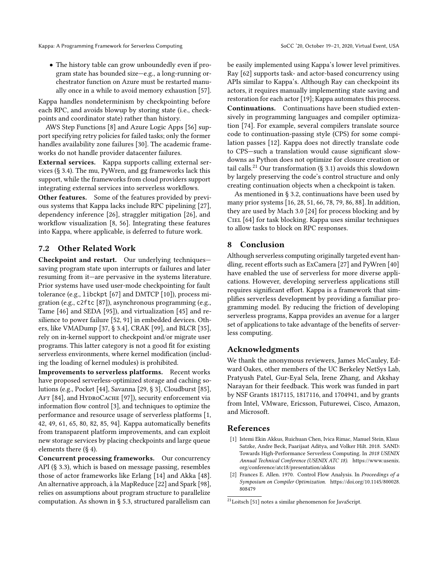• The history table can grow unboundedly even if program state has bounded size—e.g., a long-running orchestrator function on Azure must be restarted manually once in a while to avoid memory exhaustion [\[57\]](#page-14-20).

Kappa handles nondeterminism by checkpointing before each RPC, and avoids blowup by storing state (i.e., checkpoints and coordinator state) rather than history.

AWS Step Functions [\[8\]](#page-13-11) and Azure Logic Apps [\[56\]](#page-14-8) support specifying retry policies for failed tasks; only the former handles availability zone failures [\[30\]](#page-13-24). The academic frameworks do not handle provider datacenter failures.

External services. Kappa supports calling external services (§ [3.4\)](#page-6-0). The mu, PyWren, and gg frameworks lack this support, while the frameworks from cloud providers support integrating external services into serverless workflows.

Other features. Some of the features provided by previous systems that Kappa lacks include RPC pipelining [\[27\]](#page-13-4), dependency inference [\[26\]](#page-13-5), straggler mitigation [\[26\]](#page-13-5), and workflow visualization [\[8,](#page-13-11) [56\]](#page-14-8). Integrating these features into Kappa, where applicable, is deferred to future work.

## <span id="page-12-0"></span>7.2 Other Related Work

Checkpoint and restart. Our underlying techniques saving program state upon interrupts or failures and later resuming from it—are pervasive in the systems literature. Prior systems have used user-mode checkpointing for fault tolerance (e.g., libckpt [\[67\]](#page-14-14) and DMTCP [\[10\]](#page-13-19)), process migration (e.g., c2ftc [\[87\]](#page-15-22)), asynchronous programming (e.g., Tame [\[46\]](#page-14-21) and SEDA [\[95\]](#page-15-23)), and virtualization [\[45\]](#page-14-22) and resilience to power failure [\[52,](#page-14-23) [91\]](#page-15-24) in embedded devices. Others, like VMADump [\[37,](#page-14-24) § 3.4], CRAK [\[99\]](#page-15-25), and BLCR [\[35\]](#page-14-25), rely on in-kernel support to checkpoint and/or migrate user programs. This latter category is not a good fit for existing serverless environments, where kernel modification (including the loading of kernel modules) is prohibited.

Improvements to serverless platforms. Recent works have proposed serverless-optimized storage and caching solutions (e.g., Pocket [\[44\]](#page-14-3), Savanna [\[29,](#page-13-25) § 3], Cloudburst [\[85\]](#page-15-26), AFT [\[84\]](#page-15-27), and HYDROCACHE [\[97\]](#page-15-28)), security enforcement via information flow control [\[3\]](#page-13-26), and techniques to optimize the performance and resource usage of serverless platforms [\[1,](#page-12-2) [42,](#page-14-26) [49,](#page-14-27) [61,](#page-14-28) [65,](#page-14-29) [80,](#page-15-29) [82,](#page-15-30) [85,](#page-15-26) [94\]](#page-15-31). Kappa automatically benefits from transparent platform improvements, and can exploit new storage services by placing checkpoints and large queue elements there (§ [4\)](#page-6-1).

Concurrent processing frameworks. Our concurrency API (§ [3.3\)](#page-5-0), which is based on message passing, resembles those of actor frameworks like Erlang [\[14\]](#page-13-27) and Akka [\[48\]](#page-14-30). An alternative approach, à la MapReduce [\[22\]](#page-13-28) and Spark [\[98\]](#page-15-32), relies on assumptions about program structure to parallelize computation. As shown in § [5.3,](#page-9-0) structured parallelism can

be easily implemented using Kappa's lower level primitives. Ray [\[62\]](#page-14-31) supports task- and actor-based concurrency using APIs similar to Kappa's. Although Ray can checkpoint its actors, it requires manually implementing state saving and restoration for each actor [\[19\]](#page-13-29); Kappa automates this process. Continuations. Continuations have been studied extensively in programming languages and compiler optimization [\[74\]](#page-15-8). For example, several compilers translate source code to continuation-passing style (CPS) for some compilation passes [\[12\]](#page-13-30). Kappa does not directly translate code to CPS—such a translation would cause significant slowdowns as Python does not optimize for closure creation or tail calls.<sup>[21](#page-12-3)</sup> Our transformation (§ [3.1\)](#page-3-0) avoids this slowdown by largely preserving the code's control structure and only creating continuation objects when a checkpoint is taken.

As mentioned in § [3.2,](#page-4-0) continuations have been used by many prior systems [\[16,](#page-13-18) [28,](#page-13-17) [51,](#page-14-11) [66,](#page-14-13) [78,](#page-15-11) [79,](#page-15-9) [86,](#page-15-12) [88\]](#page-15-10). In addition, they are used by Mach 3.0 [\[24\]](#page-13-31) for process blocking and by Ciel [\[64\]](#page-14-32) for task blocking. Kappa uses similar techniques to allow tasks to block on RPC responses.

## 8 Conclusion

Although serverless computing originally targeted event handling, recent efforts such as ExCamera [\[27\]](#page-13-4) and PyWren [\[40\]](#page-14-2) have enabled the use of serverless for more diverse applications. However, developing serverless applications still requires significant effort. Kappa is a framework that simplifies serverless development by providing a familiar programming model. By reducing the friction of developing serverless programs, Kappa provides an avenue for a larger set of applications to take advantage of the benefits of serverless computing.

## Acknowledgments

We thank the anonymous reviewers, James McCauley, Edward Oakes, other members of the UC Berkeley NetSys Lab, Pratyush Patel, Gur-Eyal Sela, Irene Zhang, and Akshay Narayan for their feedback. This work was funded in part by NSF Grants 1817115, 1817116, and 1704941, and by grants from Intel, VMware, Ericsson, Futurewei, Cisco, Amazon, and Microsoft.

#### References

- <span id="page-12-2"></span>[1] Istemi Ekin Akkus, Ruichuan Chen, Ivica Rimac, Manuel Stein, Klaus Satzke, Andre Beck, Paarijaat Aditya, and Volker Hilt. 2018. SAND: Towards High-Performance Serverless Computing. In 2018 USENIX Annual Technical Conference (USENIX ATC 18). [https://www.usenix.](https://www.usenix.org/conference/atc18/presentation/akkus) [org/conference/atc18/presentation/akkus](https://www.usenix.org/conference/atc18/presentation/akkus)
- <span id="page-12-1"></span>[2] Frances E. Allen. 1970. Control Flow Analysis. In Proceedings of a Symposium on Compiler Optimization. [https://doi.org/10.1145/800028.](https://doi.org/10.1145/800028.808479) [808479](https://doi.org/10.1145/800028.808479)

<span id="page-12-3"></span> $^{21}$  Loitsch [\[51\]](#page-14-11) notes a similar phenomenon for JavaScript.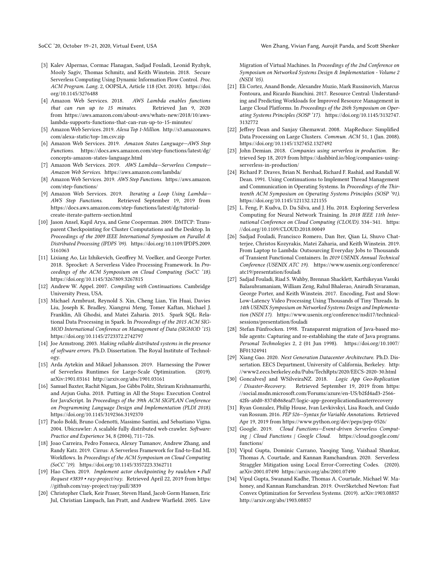- <span id="page-13-26"></span>[3] Kalev Alpernas, Cormac Flanagan, Sadjad Fouladi, Leonid Ryzhyk, Mooly Sagiv, Thomas Schmitz, and Keith Winstein. 2018. Secure Serverless Computing Using Dynamic Information Flow Control. Proc. ACM Program. Lang. 2, OOPSLA, Article 118 (Oct. 2018). [https://doi.](https://doi.org/10.1145/3276488) [org/10.1145/3276488](https://doi.org/10.1145/3276488)
- <span id="page-13-14"></span>[4] Amazon Web Services. 2018. AWS Lambda enables functions that can run up to 15 minutes. Retrieved Jan 9, 2020 from [https://aws.amazon.com/about-aws/whats-new/2018/10/aws](https://aws.amazon.com/about-aws/whats-new/2018/10/aws-lambda-supports-functions-that-can-run-up-to-15-minutes/)[lambda-supports-functions-that-can-run-up-to-15-minutes/](https://aws.amazon.com/about-aws/whats-new/2018/10/aws-lambda-supports-functions-that-can-run-up-to-15-minutes/)
- <span id="page-13-22"></span>[5] Amazon Web Services. 2019. Alexa Top 1-Million. [http://s3.amazonaws.](http://s3.amazonaws.com/alexa-static/top-1m.csv.zip) [com/alexa-static/top-1m.csv.zip](http://s3.amazonaws.com/alexa-static/top-1m.csv.zip)
- <span id="page-13-13"></span>[6] Amazon Web Services. 2019. Amazon States Language—AWS Step Functions. [https://docs.aws.amazon.com/step-functions/latest/dg/](https://docs.aws.amazon.com/step-functions/latest/dg/concepts-amazon-states-language.html) [concepts-amazon-states-language.html](https://docs.aws.amazon.com/step-functions/latest/dg/concepts-amazon-states-language.html)
- <span id="page-13-0"></span>[7] Amazon Web Services. 2019. AWS Lambda—Serverless Compute— Amazon Web Services.<https://aws.amazon.com/lambda/>
- <span id="page-13-11"></span>[8] Amazon Web Services. 2019. AWS Step Functions. [https://aws.amazon.](https://aws.amazon.com/step-functions/) [com/step-functions/](https://aws.amazon.com/step-functions/)
- <span id="page-13-12"></span>[9] Amazon Web Services. 2019. Iterating a Loop Using Lambda-AWS Step Functions. Retrieved September 19, 2019 from [https://docs.aws.amazon.com/step-functions/latest/dg/tutorial](https://docs.aws.amazon.com/step-functions/latest/dg/tutorial-create-iterate-pattern-section.html)[create-iterate-pattern-section.html](https://docs.aws.amazon.com/step-functions/latest/dg/tutorial-create-iterate-pattern-section.html)
- <span id="page-13-19"></span>[10] Jason Ansel, Kapil Arya, and Gene Cooperman. 2009. DMTCP: Transparent Checkpointing for Cluster Computations and the Desktop. In Proceedings of the 2009 IEEE International Symposium on Parallel & Distributed Processing (IPDPS '09). [https://doi.org/10.1109/IPDPS.2009.](https://doi.org/10.1109/IPDPS.2009.5161063) [5161063](https://doi.org/10.1109/IPDPS.2009.5161063)
- <span id="page-13-3"></span>[11] Lixiang Ao, Liz Izhikevich, Geoffrey M. Voelker, and George Porter. 2018. Sprocket: A Serverless Video Processing Framework. In Proceedings of the ACM Symposium on Cloud Computing (SoCC '18). <https://doi.org/10.1145/3267809.3267815>
- <span id="page-13-30"></span>[12] Andrew W. Appel. 2007. Compiling with Continuations. Cambridge University Press, USA.
- <span id="page-13-20"></span>[13] Michael Armbrust, Reynold S. Xin, Cheng Lian, Yin Huai, Davies Liu, Joseph K. Bradley, Xiangrui Meng, Tomer Kaftan, Michael J. Franklin, Ali Ghodsi, and Matei Zaharia. 2015. Spark SQL: Relational Data Processing in Spark. In Proceedings of the 2015 ACM SIG-MOD International Conference on Management of Data (SIGMOD '15). <https://doi.org/10.1145/2723372.2742797>
- <span id="page-13-27"></span>[14] Joe Armstrong. 2003. Making reliable distributed systems in the presence of software errors. Ph.D. Dissertation. The Royal Institute of Technology.
- <span id="page-13-6"></span>[15] Arda Aytekin and Mikael Johansson. 2019. Harnessing the Power of Serverless Runtimes for Large-Scale Optimization. (2019). arXiv[:1901.03161](https://arxiv.org/abs/1901.03161)<http://arxiv.org/abs/1901.03161>
- <span id="page-13-18"></span>[16] Samuel Baxter, Rachit Nigam, Joe Gibbs Politz, Shriram Krishnamurthi, and Arjun Guha. 2018. Putting in All the Stops: Execution Control for JavaScript. In Proceedings of the 39th ACM SIGPLAN Conference on Programming Language Design and Implementation (PLDI 2018). <https://doi.org/10.1145/3192366.3192370>
- <span id="page-13-21"></span>[17] Paolo Boldi, Bruno Codenotti, Massimo Santini, and Sebastiano Vigna. 2004. Ubicrawler: A scalable fully distributed web crawler. Software: Practice and Experience 34, 8 (2004), 711–726.
- <span id="page-13-10"></span>[18] Joao Carreira, Pedro Fonseca, Alexey Tumanov, Andrew Zhang, and Randy Katz. 2019. Cirrus: A Serverless Framework for End-to-End ML Workflows. In Proceedings of the ACM Symposium on Cloud Computing (SoCC '19).<https://doi.org/10.1145/3357223.3362711>
- <span id="page-13-29"></span>[19] Hao Chen. 2019. Implement actor checkpointing by raulchen • Pull Request #3839 • ray-project/ray. Retrieved April 22, 2019 from [https:](https://github.com/ray-project/ray/pull/3839) [//github.com/ray-project/ray/pull/3839](https://github.com/ray-project/ray/pull/3839)
- <span id="page-13-15"></span>[20] Christopher Clark, Keir Fraser, Steven Hand, Jacob Gorm Hansen, Eric Jul, Christian Limpach, Ian Pratt, and Andrew Warfield. 2005. Live

Migration of Virtual Machines. In Proceedings of the 2nd Conference on Symposium on Networked Systems Design & Implementation - Volume 2 (NSDI '05).

- <span id="page-13-16"></span>[21] Eli Cortez, Anand Bonde, Alexandre Muzio, Mark Russinovich, Marcus Fontoura, and Ricardo Bianchini. 2017. Resource Central: Understanding and Predicting Workloads for Improved Resource Management in Large Cloud Platforms. In Proceedings of the 26th Symposium on Operating Systems Principles (SOSP '17). [https://doi.org/10.1145/3132747.](https://doi.org/10.1145/3132747.3132772) [3132772](https://doi.org/10.1145/3132747.3132772)
- <span id="page-13-28"></span>[22] Jeffrey Dean and Sanjay Ghemawat. 2008. MapReduce: Simplified Data Processing on Large Clusters. Commun. ACM 51, 1 (Jan. 2008). <https://doi.org/10.1145/1327452.1327492>
- <span id="page-13-2"></span>[23] John Demian. 2018. Companies using serverless in production. Retrieved Sep 18, 2019 from [https://dashbird.io/blog/companies-using](https://dashbird.io/blog/companies-using-serverless-in-production/)[serverless-in-production/](https://dashbird.io/blog/companies-using-serverless-in-production/)
- <span id="page-13-31"></span>[24] Richard P. Draves, Brian N. Bershad, Richard F. Rashid, and Randall W. Dean. 1991. Using Continuations to Implement Thread Management and Communication in Operating Systems. In Proceedings of the Thirteenth ACM Symposium on Operating Systems Principles (SOSP '91). <https://doi.org/10.1145/121132.121155>
- <span id="page-13-7"></span>[25] L. Feng, P. Kudva, D. Da Silva, and J. Hu. 2018. Exploring Serverless Computing for Neural Network Training. In 2018 IEEE 11th International Conference on Cloud Computing (CLOUD). 334–341. [https:](https://doi.org/10.1109/CLOUD.2018.00049) [//doi.org/10.1109/CLOUD.2018.00049](https://doi.org/10.1109/CLOUD.2018.00049)
- <span id="page-13-5"></span>[26] Sadjad Fouladi, Francisco Romero, Dan Iter, Qian Li, Shuvo Chatterjee, Christos Kozyrakis, Matei Zaharia, and Keith Winstein. 2019. From Laptop to Lambda: Outsourcing Everyday Jobs to Thousands of Transient Functional Containers. In 2019 USENIX Annual Technical Conference (USENIX ATC 19). [https://www.usenix.org/conference/](https://www.usenix.org/conference/atc19/presentation/fouladi) [atc19/presentation/fouladi](https://www.usenix.org/conference/atc19/presentation/fouladi)
- <span id="page-13-4"></span>[27] Sadjad Fouladi, Riad S. Wahby, Brennan Shacklett, Karthikeyan Vasuki Balasubramaniam, William Zeng, Rahul Bhalerao, Anirudh Sivaraman, George Porter, and Keith Winstein. 2017. Encoding, Fast and Slow: Low-Latency Video Processing Using Thousands of Tiny Threads. In 14th USENIX Symposium on Networked Systems Design and Implementation (NSDI 17). [https://www.usenix.org/conference/nsdi17/technical](https://www.usenix.org/conference/nsdi17/technical-sessions/presentation/fouladi)[sessions/presentation/fouladi](https://www.usenix.org/conference/nsdi17/technical-sessions/presentation/fouladi)
- <span id="page-13-17"></span>[28] Stefan Fünfrocken. 1998. Transparent migration of Java-based mobile agents: Capturing and re-establishing the state of Java programs. Personal Technologies 2, 2 (01 Jun 1998). [https://doi.org/10.1007/](https://doi.org/10.1007/BF01324941) [BF01324941](https://doi.org/10.1007/BF01324941)
- <span id="page-13-25"></span>[29] Xiang Gao. 2020. Next Generation Datacenter Architecture. Ph.D. Dissertation. EECS Department, University of California, Berkeley. [http:](http://www2.eecs.berkeley.edu/Pubs/TechRpts/2020/EECS-2020-30.html) [//www2.eecs.berkeley.edu/Pubs/TechRpts/2020/EECS-2020-30.html](http://www2.eecs.berkeley.edu/Pubs/TechRpts/2020/EECS-2020-30.html)
- <span id="page-13-24"></span>[30] GoncalvesJ and WSilveiraNZ. 2018. Logic App Geo-Replication / Disaster-Recovery. Retrieved September 19, 2019 from [https:](https://social.msdn.microsoft.com/Forums/azure/en-US/b2fd4ad3-2566-42f6-a0d0-8374b868eaf7/logic-app-georeplicationdisasterrecovery) [//social.msdn.microsoft.com/Forums/azure/en-US/b2fd4ad3-2566-](https://social.msdn.microsoft.com/Forums/azure/en-US/b2fd4ad3-2566-42f6-a0d0-8374b868eaf7/logic-app-georeplicationdisasterrecovery) [42f6-a0d0-8374b868eaf7/logic-app-georeplicationdisasterrecovery](https://social.msdn.microsoft.com/Forums/azure/en-US/b2fd4ad3-2566-42f6-a0d0-8374b868eaf7/logic-app-georeplicationdisasterrecovery)
- <span id="page-13-23"></span>[31] Ryan Gonzalez, Philip House, Ivan Levkivskyi, Lisa Roach, and Guido van Rossum. 2016. PEP 526—Syntax for Variable Annotations. Retrieved Apr 19, 2019 from<https://www.python.org/dev/peps/pep-0526/>
- <span id="page-13-1"></span>[32] Google. 2019. Cloud Functions—Event-driven Serverless Computing | Cloud Functions | Google Cloud. [https://cloud.google.com/](https://cloud.google.com/functions/) [functions/](https://cloud.google.com/functions/)
- <span id="page-13-8"></span>[33] Vipul Gupta, Dominic Carrano, Yaoqing Yang, Vaishaal Shankar, Thomas A. Courtade, and Kannan Ramchandran. 2020. Serverless Straggler Mitigation using Local Error-Correcting Codes. (2020). arXiv[:2001.07490 https://arxiv.org/abs/2001.07490](https://arxiv.org/abs/2001.07490)
- <span id="page-13-9"></span>[34] Vipul Gupta, Swanand Kadhe, Thomas A. Courtade, Michael W. Mahoney, and Kannan Ramchandran. 2019. OverSketched Newton: Fast Convex Optimization for Serverless Systems. (2019). arXiv[:1903.08857](https://arxiv.org/abs/1903.08857) <http://arxiv.org/abs/1903.08857>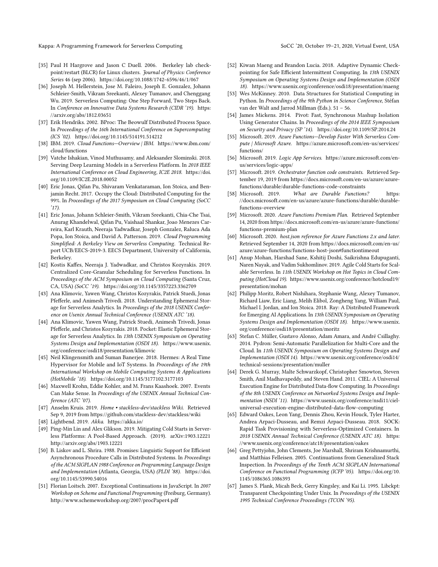Kappa: A Programming Framework for Serverless Computing SoCC '20, October 19-21, 2020, Virtual Event, USA

- <span id="page-14-25"></span>[35] Paul H Hargrove and Jason C Duell. 2006. Berkeley lab checkpoint/restart (BLCR) for Linux clusters. Journal of Physics: Conference Series 46 (sep 2006).<https://doi.org/10.1088/1742-6596/46/1/067>
- <span id="page-14-17"></span>[36] Joseph M. Hellerstein, Jose M. Faleiro, Joseph E. Gonzalez, Johann Schleier-Smith, Vikram Sreekanti, Alexey Tumanov, and Chenggang Wu. 2019. Serverless Computing: One Step Forward, Two Steps Back. In Conference on Innovative Data Systems Research (CIDR '19). [https:](https://arxiv.org/abs/1812.03651) [//arxiv.org/abs/1812.03651](https://arxiv.org/abs/1812.03651)
- <span id="page-14-24"></span>[37] Erik Hendriks. 2002. BProc: The Beowulf Distributed Process Space. In Proceedings of the 16th International Conference on Supercomputing (ICS '02).<https://doi.org/10.1145/514191.514212>
- <span id="page-14-0"></span>[38] IBM. 2019. Cloud Functions—Overview | IBM. [https://www.ibm.com/](https://www.ibm.com/cloud/functions) [cloud/functions](https://www.ibm.com/cloud/functions)
- <span id="page-14-5"></span>[39] Vatche Ishakian, Vinod Muthusamy, and Aleksander Slominski. 2018. Serving Deep Learning Models in a Serverless Platform. In 2018 IEEE International Conference on Cloud Engineering, IC2E 2018. [https://doi.](https://doi.org/10.1109/IC2E.2018.00052) [org/10.1109/IC2E.2018.00052](https://doi.org/10.1109/IC2E.2018.00052)
- <span id="page-14-2"></span>[40] Eric Jonas, Qifan Pu, Shivaram Venkataraman, Ion Stoica, and Benjamin Recht. 2017. Occupy the Cloud: Distributed Computing for the 99%. In Proceedings of the 2017 Symposium on Cloud Computing (SoCC '17).
- <span id="page-14-6"></span>[41] Eric Jonas, Johann Schleier-Smith, Vikram Sreekanti, Chia-Che Tsai, Anurag Khandelwal, Qifan Pu, Vaishaal Shankar, Joao Menezes Carreira, Karl Krauth, Neeraja Yadwadkar, Joseph Gonzalez, Raluca Ada Popa, Ion Stoica, and David A. Patterson. 2019. Cloud Programming Simplified: A Berkeley View on Serverless Computing. Technical Report UCB/EECS-2019-3. EECS Department, University of California, Berkeley.
- <span id="page-14-26"></span>[42] Kostis Kaffes, Neeraja J. Yadwadkar, and Christos Kozyrakis. 2019. Centralized Core-Granular Scheduling for Serverless Functions. In Proceedings of the ACM Symposium on Cloud Computing (Santa Cruz, CA, USA) (SoCC '19).<https://doi.org/10.1145/3357223.3362709>
- <span id="page-14-4"></span>[43] Ana Klimovic, Yawen Wang, Christos Kozyrakis, Patrick Stuedi, Jonas Pfefferle, and Animesh Trivedi. 2018. Understanding Ephemeral Storage for Serverless Analytics. In Proceedings of the 2018 USENIX Conference on Usenix Annual Technical Conference (USENIX ATC '18).
- <span id="page-14-3"></span>[44] Ana Klimovic, Yawen Wang, Patrick Stuedi, Animesh Trivedi, Jonas Pfefferle, and Christos Kozyrakis. 2018. Pocket: Elastic Ephemeral Storage for Serverless Analytics. In 13th USENIX Symposium on Operating Systems Design and Implementation (OSDI 18). [https://www.usenix.](https://www.usenix.org/conference/osdi18/presentation/klimovic) [org/conference/osdi18/presentation/klimovic](https://www.usenix.org/conference/osdi18/presentation/klimovic)
- <span id="page-14-22"></span>[45] Neil Klingensmith and Suman Banerjee. 2018. Hermes: A Real Time Hypervisor for Mobile and IoT Systems. In Proceedings of the 19th International Workshop on Mobile Computing Systems & Applications (HotMobile '18).<https://doi.org/10.1145/3177102.3177103>
- <span id="page-14-21"></span>[46] Maxwell Krohn, Eddie Kohler, and M. Frans Kaashoek. 2007. Events Can Make Sense. In Proceedings of the USENIX Annual Technical Conference (ATC '07).
- <span id="page-14-16"></span>[47] Anselm Kruis. 2019. Home • stackless-dev/stackless Wiki. Retrieved Sep 9, 2019 from<https://github.com/stackless-dev/stackless/wiki>
- <span id="page-14-30"></span>[48] Lightbend. 2019. Akka.<https://akka.io/>
- <span id="page-14-27"></span>[49] Ping-Min Lin and Alex Glikson. 2019. Mitigating Cold Starts in Serverless Platforms: A Pool-Based Approach. (2019). arXiv[:1903.12221](https://arxiv.org/abs/1903.12221) <http://arxiv.org/abs/1903.12221>
- <span id="page-14-15"></span>[50] B. Liskov and L. Shrira. 1988. Promises: Linguistic Support for Efficient Asynchronous Procedure Calls in Distributed Systems. In Proceedings of the ACM SIGPLAN 1988 Conference on Programming Language Design and Implementation (Atlanta, Georgia, USA) (PLDI '88). [https://doi.](https://doi.org/10.1145/53990.54016) [org/10.1145/53990.54016](https://doi.org/10.1145/53990.54016)
- <span id="page-14-11"></span>[51] Florian Loitsch. 2007. Exceptional Continuations in JavaScript. In 2007 Workshop on Scheme and Functional Programming (Freiburg, Germany). <http://www.schemeworkshop.org/2007/procPaper4.pdf>
- <span id="page-14-23"></span>[52] Kiwan Maeng and Brandon Lucia. 2018. Adaptive Dynamic Checkpointing for Safe Efficient Intermittent Computing. In 13th USENIX Symposium on Operating Systems Design and Implementation (OSDI 18).<https://www.usenix.org/conference/osdi18/presentation/maeng>
- <span id="page-14-18"></span>[53] Wes McKinney. 2010. Data Structures for Statistical Computing in Python. In Proceedings of the 9th Python in Science Conference, Stéfan van der Walt and Jarrod Millman (Eds.). 51 – 56.
- <span id="page-14-12"></span>[54] James Mickens. 2014. Pivot: Fast, Synchronous Mashup Isolation Using Generator Chains. In Proceedings of the 2014 IEEE Symposium on Security and Privacy (SP '14).<https://doi.org/10.1109/SP.2014.24>
- <span id="page-14-1"></span>[55] Microsoft. 2019. Azure Functions—Develop Faster With Serverless Compute | Microsoft Azure. [https://azure.microsoft.com/en-us/services/](https://azure.microsoft.com/en-us/services/functions/) [functions/](https://azure.microsoft.com/en-us/services/functions/)
- <span id="page-14-8"></span>[56] Microsoft. 2019. Logic App Services. [https://azure.microsoft.com/en](https://azure.microsoft.com/en-us/services/logic-apps/)[us/services/logic-apps/](https://azure.microsoft.com/en-us/services/logic-apps/)
- <span id="page-14-20"></span>[57] Microsoft. 2019. Orchestrator function code constraints. Retrieved September 19, 2019 from [https://docs.microsoft.com/en-us/azure/azure](https://docs.microsoft.com/en-us/azure/azure-functions/durable/durable-functions-code-constraints)[functions/durable/durable-functions-code-constraints](https://docs.microsoft.com/en-us/azure/azure-functions/durable/durable-functions-code-constraints)
- <span id="page-14-7"></span>[58] Microsoft. 2019. What are Durable Functions? [https:](https://docs.microsoft.com/en-us/azure/azure-functions/durable/durable-functions-overview) [//docs.microsoft.com/en-us/azure/azure-functions/durable/durable](https://docs.microsoft.com/en-us/azure/azure-functions/durable/durable-functions-overview)[functions-overview](https://docs.microsoft.com/en-us/azure/azure-functions/durable/durable-functions-overview)
- <span id="page-14-9"></span>[59] Microsoft. 2020. Azure Functions Premium Plan. Retrieved September 14, 2020 from [https://docs.microsoft.com/en-us/azure/azure-functions/](https://docs.microsoft.com/en-us/azure/azure-functions/functions-premium-plan) [functions-premium-plan](https://docs.microsoft.com/en-us/azure/azure-functions/functions-premium-plan)
- <span id="page-14-10"></span>[60] Microsoft. 2020. host.json reference for Azure Functions 2.x and later. Retrieved September 14, 2020 from [https://docs.microsoft.com/en-us/](https://docs.microsoft.com/en-us/azure/azure-functions/functions-host-json#functiontimeout) [azure/azure-functions/functions-host-json#functiontimeout](https://docs.microsoft.com/en-us/azure/azure-functions/functions-host-json#functiontimeout)
- <span id="page-14-28"></span>[61] Anup Mohan, Harshad Sane, Kshitij Doshi, Saikrishna Edupuganti, Naren Nayak, and Vadim Sukhomlinov. 2019. Agile Cold Starts for Scalable Serverless. In 11th USENIX Workshop on Hot Topics in Cloud Computing (HotCloud 19). [https://www.usenix.org/conference/hotcloud19/](https://www.usenix.org/conference/hotcloud19/presentation/mohan) [presentation/mohan](https://www.usenix.org/conference/hotcloud19/presentation/mohan)
- <span id="page-14-31"></span>[62] Philipp Moritz, Robert Nishihara, Stephanie Wang, Alexey Tumanov, Richard Liaw, Eric Liang, Melih Elibol, Zongheng Yang, William Paul, Michael I. Jordan, and Ion Stoica. 2018. Ray: A Distributed Framework for Emerging AI Applications. In 13th USENIX Symposium on Operating Systems Design and Implementation (OSDI 18). [https://www.usenix.](https://www.usenix.org/conference/osdi18/presentation/moritz) [org/conference/osdi18/presentation/moritz](https://www.usenix.org/conference/osdi18/presentation/moritz)
- <span id="page-14-19"></span>[63] Stefan C. Müller, Gustavo Alonso, Adam Amara, and André Csillaghy. 2014. Pydron: Semi-Automatic Parallelization for Multi-Core and the Cloud. In 11th USENIX Symposium on Operating Systems Design and Implementation (OSDI 14). [https://www.usenix.org/conference/osdi14/](https://www.usenix.org/conference/osdi14/technical-sessions/presentation/muller) [technical-sessions/presentation/muller](https://www.usenix.org/conference/osdi14/technical-sessions/presentation/muller)
- <span id="page-14-32"></span>[64] Derek G. Murray, Malte Schwarzkopf, Christopher Smowton, Steven Smith, Anil Madhavapeddy, and Steven Hand. 2011. CIEL: A Universal Execution Engine for Distributed Data-flow Computing. In Proceedings of the 8th USENIX Conference on Networked Systems Design and Implementation (NSDI '11). [https://www.usenix.org/conference/nsdi11/ciel](https://www.usenix.org/conference/nsdi11/ciel-universal-execution-engine-distributed-data-flow-computing)[universal-execution-engine-distributed-data-flow-computing](https://www.usenix.org/conference/nsdi11/ciel-universal-execution-engine-distributed-data-flow-computing)
- <span id="page-14-29"></span>[65] Edward Oakes, Leon Yang, Dennis Zhou, Kevin Houck, Tyler Harter, Andrea Arpaci-Dusseau, and Remzi Arpaci-Dusseau. 2018. SOCK: Rapid Task Provisioning with Serverless-Optimized Containers. In 2018 USENIX Annual Technical Conference (USENIX ATC 18). [https:](https://www.usenix.org/conference/atc18/presentation/oakes) [//www.usenix.org/conference/atc18/presentation/oakes](https://www.usenix.org/conference/atc18/presentation/oakes)
- <span id="page-14-13"></span>[66] Greg Pettyjohn, John Clements, Joe Marshall, Shriram Krishnamurthi, and Matthias Felleisen. 2005. Continuations from Generalized Stack Inspection. In Proceedings of the Tenth ACM SIGPLAN International Conference on Functional Programming (ICFP '05). [https://doi.org/10.](https://doi.org/10.1145/1086365.1086393) [1145/1086365.1086393](https://doi.org/10.1145/1086365.1086393)
- <span id="page-14-14"></span>[67] James S. Plank, Micah Beck, Gerry Kingsley, and Kai Li. 1995. Libckpt: Transparent Checkpointing Under Unix. In Proceedings of the USENIX 1995 Technical Conference Proceedings (TCON '95).